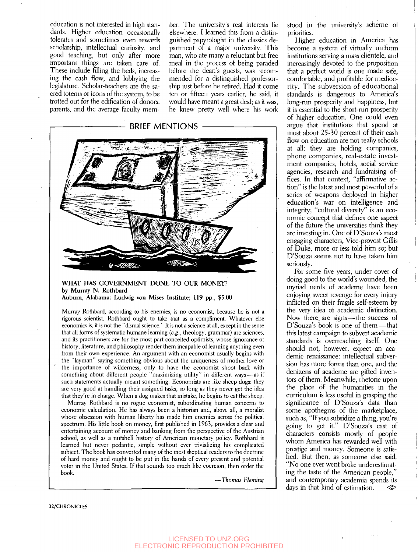education is not interested in high standards. Higher education occasionally tolerates and sometimes even rewards scholarship, intellectual curiosity, and good teaching, but only after more important things are taken care of. These include filling the beds, increasing the cash flow, and lobbying the legislature. Scholar-teachers are the sacred totems or icons of the system, to be trotted out for the edification of donors, parents, and the average faculty member. The university's real interests lie elsewhere. I learned this from a distinguished papyrologist in the classics department of a major university. This man, who ate many a reluctant but free meal in the process of being paraded before the dean's guests, was recommended for a distinguished professorship just before he retired. Had it come ten or fifteen years eariier, he said, it would have meant a great deal; as it was, he knew pretty well where his work



## **WHAT HAS GOVERNMENT DONE TO OUR MONEY? by Murray N. Rothbard Auburn, Alabama: Ludwig von Mises Institute; 119 pp., \$5.00**

Murray Rothbard, according to his enemies, is no economist, because he is not a rigorous scientist. Rothbard ought to take that as a compliment. Whatever else economics is, it is not the "dismal science." It is not a science at all, except in the sense that all forms of systematic humane learning *{e.g.,* theology, grammar) are sciences, and its practitioners are for the most part conceited optimists, whose ignorance of history, literature, and philosophy render them incapable of learning anything even from their own experience. An argument with an economist usually begins with the "layman" saying something obvious about the uniqueness of mother love or the importance of wilderness, only to have the economist shoot back with something about different people "maximizing utility" in different ways — as if such statements actually meant something. Economists are like sheep dogs: they are very good at handling their assigned tasks, so long as they never get the idea that they're in charge. When a dog makes that mistake, he begins to eat the sheep.

Murray Rothbard is no rogue economist, subordinating human concerns to economic calculation. He has always been a historian and, above all, a moralist whose obsession with human liberty has made him enemies across the political spectrum. His little book on money, first published in 1963, provides a clear and entertaining account of money and banking from the perspective of the Austrian school, as well as a nutshell history of American monetary policy. Rothbard is learned but never pedantic, simple without ever trivializing his complicated subject. The book has converted many of the most skeptical readers to the doctrine of hard money and ought to be put in the hands of every present and potential voter in the United States. If that sounds too much like coercion, then order the book.

— *Thomas Fleming* 

stood in the university's scheme of priorities.

Higher education in America has become a system of virtually uniform institutions serving a mass clientele, and increasingly devoted to the proposition that a perfect worid is one made safe, comfortable, and profitable for mediocrity. The subversion of educational standards is dangerous to America's long-run prosperity and happiness, but it is essential to the short-run prosperity of higher education. One could even argue that institutions that spend at most about 25-30 percent of their cash flow on education are not really schools at all: they are holding companies, phone companies, real-estate investment companies, hotels, social service agencies, research and fundraising offices. In that context, "affirmative action" is the latest and most powerful of a series of weapons deployed in higher education's war on intelligence and integrity; "cultural diversity" is an economic concept that defines one aspect of the future the universities think they are investing in. One of D'Souza's most engaging characters, Vice-provost Gillis of Duke, more or less told him so; but D'Souza seems not to have taken him seriously.

For some five years, under cover of doing good to the worid's wounded, the myriad nerds of academe have been enjoying sweet revenge for every injury inflicted on their fragile self-esteem by the very idea of academic distinction. Now there\_are signs — the success of D'Souza's book is one of them — that this latest campaign to subvert academic standards is overreaching itself. One should not, however, expect an academic renaissance: intellectual subversion has more forms than one, and the denizens of academe are gifted inventors of them. Meanwhile, rhetoric upon the place of the humanities in the curriculum is less useful in grasping the significance of D'Souza's data than some apothegms of the marketplace, such as, "If you subsidize a thing, you're going to get it." D'Souza's cast of characters consists mostly of people whom America has rewarded well with prestige and money. Someone is satisfied. But then, as someone else said, "No one ever went broke underestimating the taste of the American people," and contemporary academia spends its days in that kind of estimation.  $\Diamond$ 

32/CHRONICLES